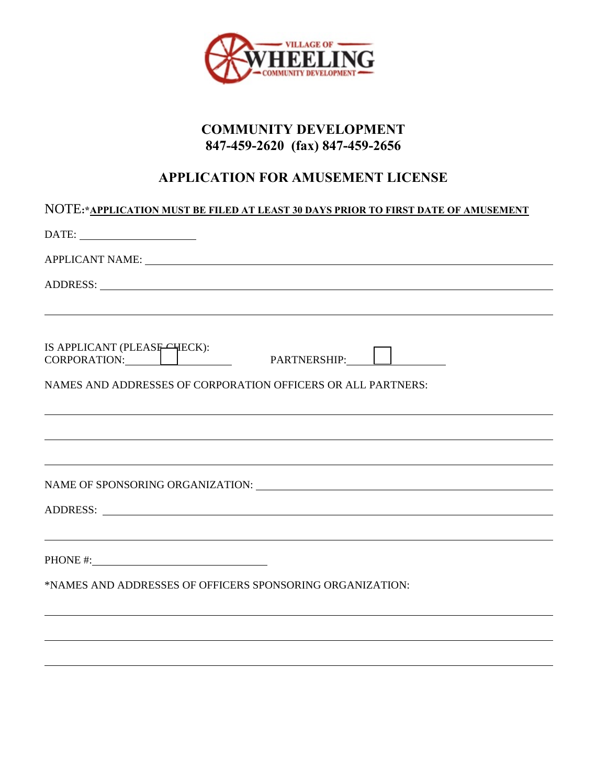

# **COMMUNITY DEVELOPMENT 847-459-2620 (fax) 847-459-2656**

# **APPLICATION FOR AMUSEMENT LICENSE**

| NOTE:* <u>APPLICATION MUST BE FILED AT LEAST 30 DAYS PRIOR TO FIRST DATE OF AMUSEMENT</u>                                                                                                                                                                                                                                                                                                                                                                                                                                     |  |  |
|-------------------------------------------------------------------------------------------------------------------------------------------------------------------------------------------------------------------------------------------------------------------------------------------------------------------------------------------------------------------------------------------------------------------------------------------------------------------------------------------------------------------------------|--|--|
| $\text{DATE:}\underbrace{\qquad \qquad }_{\qquad \qquad \qquad \qquad }\qquad \qquad \qquad \qquad ~~\qquad \qquad \qquad ~~\qquad \qquad ~~\qquad \qquad ~~\qquad \qquad ~~\qquad \qquad ~~\qquad \qquad ~~\qquad \qquad ~~\qquad \qquad ~~\qquad \qquad ~~\qquad \qquad ~~\qquad \qquad ~~\qquad \qquad ~~\qquad \qquad ~~\qquad \qquad ~~\qquad \qquad ~~\qquad \qquad ~~\qquad \qquad ~~\qquad \qquad ~~\qquad \qquad ~~\qquad \qquad ~~\qquad \qquad ~~\qquad \qquad ~~\qquad \qquad ~~\qquad \qquad ~~\qquad \qquad ~~$ |  |  |
| APPLICANT NAME: University of the contract of the contract of the contract of the contract of the contract of the contract of the contract of the contract of the contract of the contract of the contract of the contract of                                                                                                                                                                                                                                                                                                 |  |  |
|                                                                                                                                                                                                                                                                                                                                                                                                                                                                                                                               |  |  |
| IS APPLICANT (PLEASE-HECK):<br>CORPORATION: PARTNERSHIP: D                                                                                                                                                                                                                                                                                                                                                                                                                                                                    |  |  |
| NAMES AND ADDRESSES OF CORPORATION OFFICERS OR ALL PARTNERS:                                                                                                                                                                                                                                                                                                                                                                                                                                                                  |  |  |
| <u> 2000 - Andrea Andrewski, amerikansk politik (d. 1989)</u>                                                                                                                                                                                                                                                                                                                                                                                                                                                                 |  |  |
| <u> 1990 - Andrea Santa Andrea Santa Andrea Santa Andrea Santa Andrea Santa Andrea Santa Andrea Santa Andrea San</u>                                                                                                                                                                                                                                                                                                                                                                                                          |  |  |
| ,我们也不会有什么。""我们的人,我们也不会有什么?""我们的人,我们也不会有什么?""我们的人,我们也不会有什么?""我们的人,我们也不会有什么?""我们的人                                                                                                                                                                                                                                                                                                                                                                                                                                              |  |  |
| PHONE #:                                                                                                                                                                                                                                                                                                                                                                                                                                                                                                                      |  |  |
| *NAMES AND ADDRESSES OF OFFICERS SPONSORING ORGANIZATION:                                                                                                                                                                                                                                                                                                                                                                                                                                                                     |  |  |
|                                                                                                                                                                                                                                                                                                                                                                                                                                                                                                                               |  |  |
|                                                                                                                                                                                                                                                                                                                                                                                                                                                                                                                               |  |  |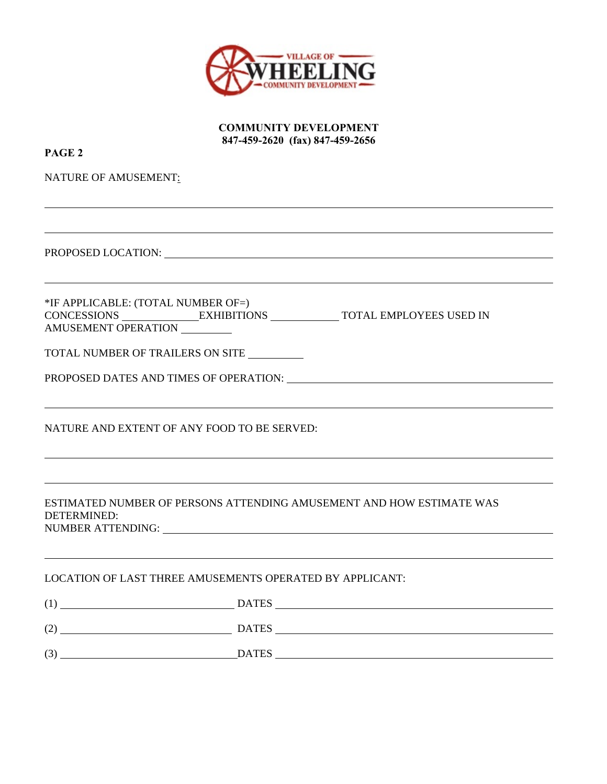

**COMMUNITY DEVELOPMENT 847-459-2620 (fax) 847-459-2656** 

| PAGE <sub>2</sub>                                         |                                                                                                                                                                                                                                |
|-----------------------------------------------------------|--------------------------------------------------------------------------------------------------------------------------------------------------------------------------------------------------------------------------------|
| NATURE OF AMUSEMENT:                                      |                                                                                                                                                                                                                                |
|                                                           |                                                                                                                                                                                                                                |
|                                                           | PROPOSED LOCATION: New York State State State State State State State State State State State State State State State State State State State State State State State State State State State State State State State State St |
| *IF APPLICABLE: (TOTAL NUMBER OF=)<br>AMUSEMENT OPERATION | CONCESSIONS EXHIBITIONS TOTAL EMPLOYEES USED IN                                                                                                                                                                                |
|                                                           | TOTAL NUMBER OF TRAILERS ON SITE                                                                                                                                                                                               |
|                                                           | PROPOSED DATES AND TIMES OF OPERATION: University of Annual Account of the PROPOSED DATES AND TIMES OF OPERATION:                                                                                                              |
|                                                           | NATURE AND EXTENT OF ANY FOOD TO BE SERVED:                                                                                                                                                                                    |
| DETERMINED:                                               | ESTIMATED NUMBER OF PERSONS ATTENDING AMUSEMENT AND HOW ESTIMATE WAS                                                                                                                                                           |
|                                                           | LOCATION OF LAST THREE AMUSEMENTS OPERATED BY APPLICANT:                                                                                                                                                                       |
|                                                           | $(1)$ $DATES$                                                                                                                                                                                                                  |
|                                                           | $(2)$ DATES DATES                                                                                                                                                                                                              |
|                                                           | $(A)$ DATES                                                                                                                                                                                                                    |